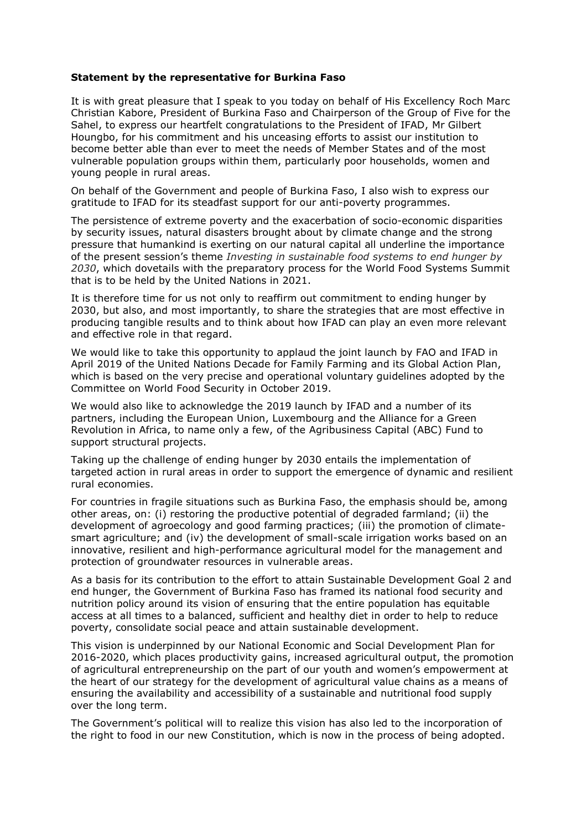## **Statement by the representative for Burkina Faso**

It is with great pleasure that I speak to you today on behalf of His Excellency Roch Marc Christian Kabore, President of Burkina Faso and Chairperson of the Group of Five for the Sahel, to express our heartfelt congratulations to the President of IFAD, Mr Gilbert Houngbo, for his commitment and his unceasing efforts to assist our institution to become better able than ever to meet the needs of Member States and of the most vulnerable population groups within them, particularly poor households, women and young people in rural areas.

On behalf of the Government and people of Burkina Faso, I also wish to express our gratitude to IFAD for its steadfast support for our anti-poverty programmes.

The persistence of extreme poverty and the exacerbation of socio-economic disparities by security issues, natural disasters brought about by climate change and the strong pressure that humankind is exerting on our natural capital all underline the importance of the present session's theme *Investing in sustainable food systems to end hunger by 2030*, which dovetails with the preparatory process for the World Food Systems Summit that is to be held by the United Nations in 2021.

It is therefore time for us not only to reaffirm out commitment to ending hunger by 2030, but also, and most importantly, to share the strategies that are most effective in producing tangible results and to think about how IFAD can play an even more relevant and effective role in that regard.

We would like to take this opportunity to applaud the joint launch by FAO and IFAD in April 2019 of the United Nations Decade for Family Farming and its Global Action Plan, which is based on the very precise and operational voluntary guidelines adopted by the Committee on World Food Security in October 2019.

We would also like to acknowledge the 2019 launch by IFAD and a number of its partners, including the European Union, Luxembourg and the Alliance for a Green Revolution in Africa, to name only a few, of the Agribusiness Capital (ABC) Fund to support structural projects.

Taking up the challenge of ending hunger by 2030 entails the implementation of targeted action in rural areas in order to support the emergence of dynamic and resilient rural economies.

For countries in fragile situations such as Burkina Faso, the emphasis should be, among other areas, on: (i) restoring the productive potential of degraded farmland; (ii) the development of agroecology and good farming practices; (iii) the promotion of climatesmart agriculture; and (iv) the development of small-scale irrigation works based on an innovative, resilient and high-performance agricultural model for the management and protection of groundwater resources in vulnerable areas.

As a basis for its contribution to the effort to attain Sustainable Development Goal 2 and end hunger, the Government of Burkina Faso has framed its national food security and nutrition policy around its vision of ensuring that the entire population has equitable access at all times to a balanced, sufficient and healthy diet in order to help to reduce poverty, consolidate social peace and attain sustainable development.

This vision is underpinned by our National Economic and Social Development Plan for 2016-2020, which places productivity gains, increased agricultural output, the promotion of agricultural entrepreneurship on the part of our youth and women's empowerment at the heart of our strategy for the development of agricultural value chains as a means of ensuring the availability and accessibility of a sustainable and nutritional food supply over the long term.

The Government's political will to realize this vision has also led to the incorporation of the right to food in our new Constitution, which is now in the process of being adopted.